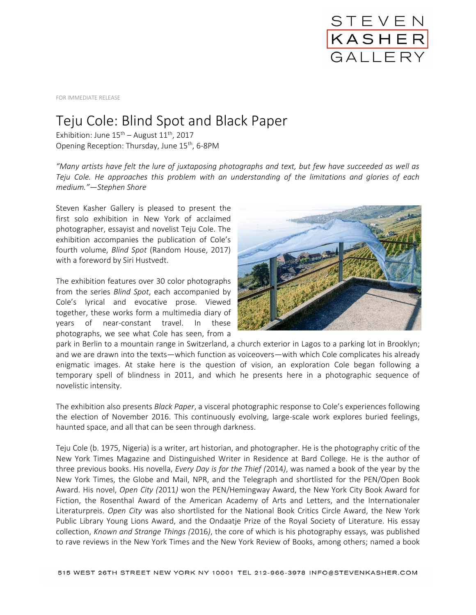

FOR IMMEDIATE RELEASE

## Teju Cole: Blind Spot and Black Paper

Exhibition: June  $15<sup>th</sup>$  – August  $11<sup>th</sup>$ , 2017 Opening Reception: Thursday, June 15<sup>th</sup>, 6-8PM

*"Many artists have felt the lure of juxtaposing photographs and text, but few have succeeded as well as Teju Cole. He approaches this problem with an understanding of the limitations and glories of each medium."—Stephen Shore*

Steven Kasher Gallery is pleased to present the first solo exhibition in New York of acclaimed photographer, essayist and novelist Teju Cole. The exhibition accompanies the publication of Cole's fourth volume, *Blind Spot* (Random House, 2017) with a foreword by Siri Hustvedt.

The exhibition features over 30 color photographs from the series *Blind Spot*, each accompanied by Cole's lyrical and evocative prose. Viewed together, these works form a multimedia diary of years of near-constant travel. In these photographs, we see what Cole has seen, from a



park in Berlin to a mountain range in Switzerland, a church exterior in Lagos to a parking lot in Brooklyn; and we are drawn into the texts—which function as voiceovers—with which Cole complicates his already enigmatic images. At stake here is the question of vision, an exploration Cole began following a temporary spell of blindness in 2011, and which he presents here in a photographic sequence of novelistic intensity.

The exhibition also presents *Black Paper*, a visceral photographic response to Cole's experiences following the election of November 2016. This continuously evolving, large-scale work explores buried feelings, haunted space, and all that can be seen through darkness.

Teju Cole (b. 1975, Nigeria) is a writer, art historian, and photographer. He is the photography critic of the New York Times Magazine and Distinguished Writer in Residence at Bard College. He is the author of three previous books. His novella, *Every Day is for the Thief (*2014*)*, was named a book of the year by the New York Times, the Globe and Mail, NPR, and the Telegraph and shortlisted for the PEN/Open Book Award. His novel, *Open City (*2011*)* won the PEN/Hemingway Award, the New York City Book Award for Fiction, the Rosenthal Award of the American Academy of Arts and Letters, and the Internationaler Literaturpreis. *Open City* was also shortlisted for the National Book Critics Circle Award, the New York Public Library Young Lions Award, and the Ondaatje Prize of the Royal Society of Literature. His essay collection, *Known and Strange Things (*2016*)*, the core of which is his photography essays, was published to rave reviews in the New York Times and the New York Review of Books, among others; named a book